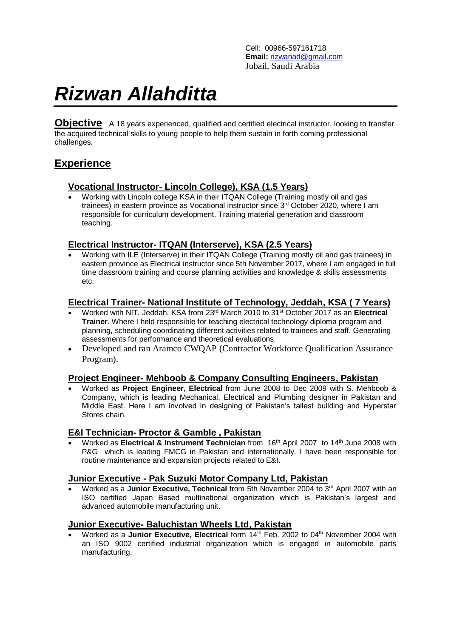Cell: 00966-597161718 **Email:** [rizwanad@gmail.com](mailto:rizwanad@gmail.com) Jubail, Saudi Arabia

# *Rizwan Allahditta*

**Objective** A 18 years experienced, qualified and certified electrical instructor, looking to transfer the acquired technical skills to young people to help them sustain in forth coming professional challenges.

# **Experience**

#### **Vocational Instructor- Lincoln College), KSA (1.5 Years)**

 Working with Lincoln college KSA in their ITQAN College (Training mostly oil and gas trainees) in eastern province as Vocational instructor since 3<sup>rd</sup> October 2020, where I am responsible for curriculum development. Training material generation and classroom teaching.

## **Electrical Instructor- ITQAN (Interserve), KSA (2.5 Years)**

 Working with ILE (Interserve) in their ITQAN College (Training mostly oil and gas trainees) in eastern province as Electrical instructor since 5th November 2017, where I am engaged in full time classroom training and course planning activities and knowledge & skills assessments etc.

## **Electrical Trainer- National Institute of Technology, Jeddah, KSA ( 7 Years)**

- Worked with NIT, Jeddah, KSA from 23rd March 2010 to 31st October 2017 as an **Electrical Trainer.** Where I held responsible for teaching electrical technology diploma program and planning, scheduling coordinating different activities related to trainees and staff. Generating assessments for performance and theoretical evaluations.
- Developed and ran Aramco CWQAP (Contractor Workforce Qualification Assurance Program).

## **Project Engineer- Mehboob & Company Consulting Engineers, Pakistan**

 Worked as **Project Engineer, Electrical** from June 2008 to Dec 2009 with S. Mehboob & Company, which is leading Mechanical, Electrical and Plumbing designer in Pakistan and Middle East. Here I am involved in designing of Pakistan's tallest building and Hyperstar Stores chain.

#### **E&I Technician- Proctor & Gamble , Pakistan**

 Worked as **Electrical & Instrument Technician** from 16th April 2007 to 14th June 2008 with P&G which is leading FMCG in Pakistan and internationally. I have been responsible for routine maintenance and expansion projects related to E&I.

#### **Junior Executive - Pak Suzuki Motor Company Ltd, Pakistan**

 Worked as a **Junior Executive, Technical** from 5th November 2004 to 3rd April 2007 with an ISO certified Japan Based multinational organization which is Pakistan's largest and advanced automobile manufacturing unit.

#### **Junior Executive- Baluchistan Wheels Ltd, Pakistan**

Worked as a **Junior Executive, Electrical** form 14<sup>th</sup> Feb. 2002 to 04<sup>th</sup> November 2004 with an ISO 9002 certified industrial organization which is engaged in automobile parts manufacturing.